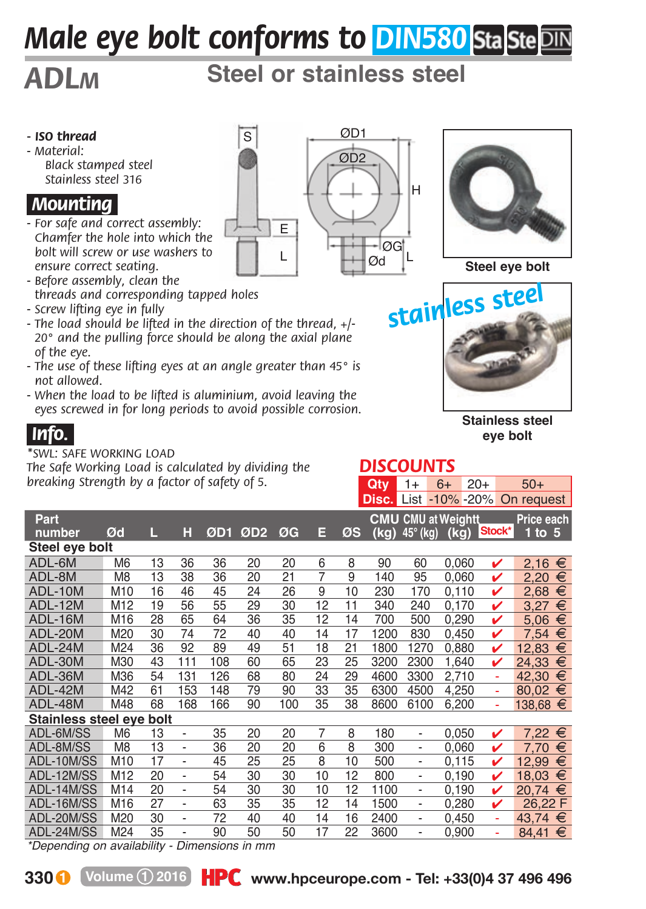# *Male eye bolt conforms to DIN580 StaSte DIN*

# *ADLM* **Steel or stainless steel**

- *ISO thread*
- *Material: Black stamped steel Stainless steel 316*

#### *.Mounting.*

- *For safe and correct assembly: Chamfer the hole into which the bolt will screw or use washers to ensure correct seating.*
- *Before assembly, clean the threads and corresponding tapped holes*
- *Screw lifting eye in fully*
- *The load should be lifted in the direction of the thread, +/- 20° and the pulling force should be along the axial plane of the eye.*
- *The use of these lifting eyes at an angle greater than 45° is not allowed.*
- *When the load to be lifted is aluminium, avoid leaving the eyes screwed in for long periods to avoid possible corrosion.*

### *.Info..*

#### *\*SWL: SAFE WORKING LOAD*

*The Safe Working Load is calculated by dividing the breaking Strength by a factor of safety of 5.*





**Steel eye bolt**



**Stainless steel eye bolt**

**Qty** 1+ 6+ 20+ 50+

|                               |                 |    |                          |     |         |     |                |    |      |                              |       |             | <b>Disc.</b> List -10% -20% On request |
|-------------------------------|-----------------|----|--------------------------|-----|---------|-----|----------------|----|------|------------------------------|-------|-------------|----------------------------------------|
| Part                          |                 |    |                          |     |         |     |                |    |      | <b>CMU CMU at Weightt</b>    |       |             | Price each                             |
| number                        | Ød              | П, | н                        |     | ØD1 ØD2 | ØG  | Е              | ØS |      | $(kg)$ 45 $^{\circ}$ (kg)    |       | (kg) Stock* | $1$ to $5$                             |
| Steel eye bolt                |                 |    |                          |     |         |     |                |    |      |                              |       |             |                                        |
| ADL-6M                        | M <sub>6</sub>  | 13 | 36                       | 36  | 20      | 20  | 6              | 8  | 90   | 60                           | 0.060 | v           | €<br>2.16                              |
| ADL-8M                        | M <sub>8</sub>  | 13 | 38                       | 36  | 20      | 21  | 7              | 9  | 140  | 95                           | 0,060 | v           | €<br>2.20                              |
| ADL-10M                       | M10             | 16 | 46                       | 45  | 24      | 26  | $\overline{9}$ | 10 | 230  | 170                          | 0,110 | v           | €<br>2,68                              |
| ADL-12M                       | M12             | 19 | 56                       | 55  | 29      | 30  | 12             | 11 | 340  | 240                          | 0.170 | v           | €<br>3,27                              |
| ADL-16M                       | M16             | 28 | 65                       | 64  | 36      | 35  | 12             | 14 | 700  | 500                          | 0,290 | v           | €<br>5.06                              |
| ADL-20M                       | M20             | 30 | 74                       | 72  | 40      | 40  | 14             | 17 | 1200 | 830                          | 0.450 | v           | €<br>7.54                              |
| ADL-24M                       | M24             | 36 | 92                       | 89  | 49      | 51  | 18             | 21 | 1800 | 1270                         | 0,880 | v           | €<br>12,83                             |
| ADL-30M                       | M30             | 43 | 111                      | 108 | 60      | 65  | 23             | 25 | 3200 | 2300                         | 1,640 | v           | €<br>24.33                             |
| ADL-36M                       | M36             | 54 | 131                      | 126 | 68      | 80  | 24             | 29 | 4600 | 3300                         | 2,710 | ä,          | €<br>42,30                             |
| ADL-42M                       | M42             | 61 | 153                      | 148 | 79      | 90  | 33             | 35 | 6300 | 4500                         | 4.250 | ä,          | €<br>80.02                             |
| ADL-48M                       | M48             | 68 | 168                      | 166 | 90      | 100 | 35             | 38 | 8600 | 6100                         | 6,200 | Ξ           | $138,68 \in$                           |
| Stainless steel eve bolt      |                 |    |                          |     |         |     |                |    |      |                              |       |             |                                        |
| ADL-6M/SS                     | M <sub>6</sub>  | 13 | $\overline{\phantom{a}}$ | 35  | 20      | 20  | $\overline{7}$ | 8  | 180  | $\qquad \qquad \blacksquare$ | 0.050 | v           | €<br>7.22                              |
| ADL-8M/SS                     | M <sub>8</sub>  | 13 | $\overline{\phantom{a}}$ | 36  | 20      | 20  | 6              | 8  | 300  | $\qquad \qquad \blacksquare$ | 0.060 | v           | 7.70<br>€                              |
| ADL-10M/SS                    | M10             | 17 | $\overline{\phantom{a}}$ | 45  | 25      | 25  | 8              | 10 | 500  | $\qquad \qquad \blacksquare$ | 0.115 | v           | €<br>12,99                             |
| ADL-12M/SS                    | M <sub>12</sub> | 20 | $\overline{\phantom{a}}$ | 54  | 30      | 30  | 10             | 12 | 800  | $\qquad \qquad \blacksquare$ | 0,190 | v           | €<br>18.03                             |
| ADL-14M/SS                    | M14             | 20 | $\overline{\phantom{a}}$ | 54  | 30      | 30  | 10             | 12 | 1100 | $\overline{\phantom{a}}$     | 0.190 | v           | €<br>20.74                             |
| ADL-16M/SS                    | M16             | 27 | $\overline{\phantom{a}}$ | 63  | 35      | 35  | 12             | 14 | 1500 | $\overline{\phantom{a}}$     | 0,280 | v           | 26,22 F                                |
| ADL-20M/SS                    | M20             | 30 | $\overline{\phantom{a}}$ | 72  | 40      | 40  | 14             | 16 | 2400 | $\overline{\phantom{a}}$     | 0.450 | ä,          | €<br>43.74                             |
| ADL-24M/SS                    | M24             | 35 | $\overline{a}$           | 90  | 50      | 50  | 17             | 22 | 3600 | $\overline{\phantom{0}}$     | 0.900 | ä,          | €<br>84.41                             |
| $*D$ anandina an availahility |                 |    | Dimensiona in mm         |     |         |     |                |    |      |                              |       |             |                                        |

*\*Depending on availability - Dimensions in mm*



*DISCOUNTS*